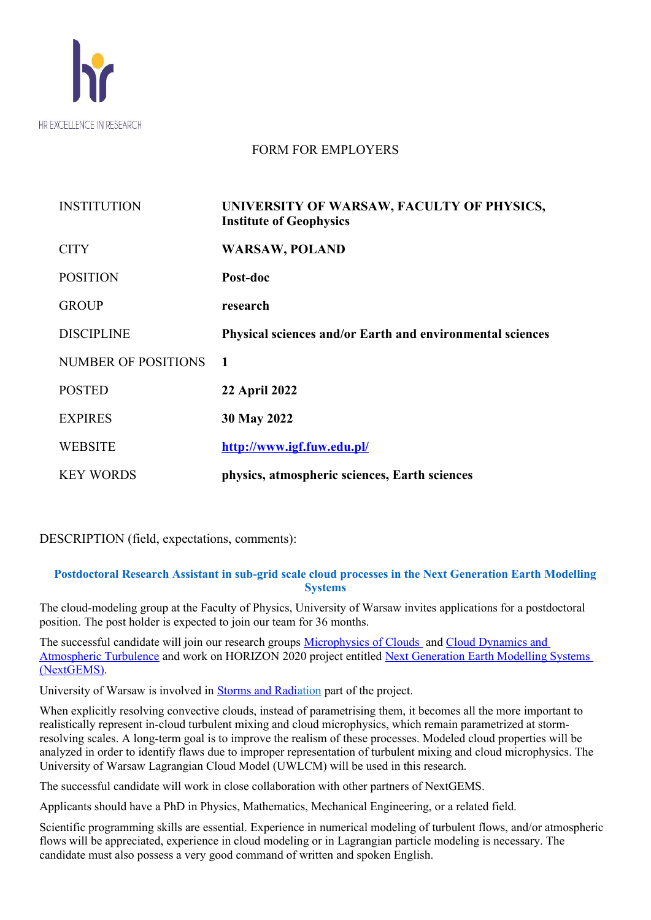

## FORM FOR EMPLOYERS

| <b>INSTITUTION</b>         | UNIVERSITY OF WARSAW, FACULTY OF PHYSICS,<br><b>Institute of Geophysics</b> |
|----------------------------|-----------------------------------------------------------------------------|
| <b>CITY</b>                | <b>WARSAW, POLAND</b>                                                       |
| <b>POSITION</b>            | Post-doc                                                                    |
| <b>GROUP</b>               | research                                                                    |
| <b>DISCIPLINE</b>          | Physical sciences and/or Earth and environmental sciences                   |
| <b>NUMBER OF POSITIONS</b> | 1                                                                           |
| <b>POSTED</b>              | <b>22 April 2022</b>                                                        |
| <b>EXPIRES</b>             | 30 May 2022                                                                 |
| <b>WEBSITE</b>             | http://www.igf.fuw.edu.pl/                                                  |
| <b>KEY WORDS</b>           | physics, atmospheric sciences, Earth sciences                               |

DESCRIPTION (field, expectations, comments):

### **Postdoctoral Research Assistant in sub-grid scale cloud processes in the Next Generation Earth Modelling Systems**

The cloud-modeling group at the Faculty of Physics, University of Warsaw invites applications for a postdoctoral position. The post holder is expected to join our team for 36 months.

The successful candidate will join our research groups [Microphysics of Clouds](https://www.igf.fuw.edu.pl/en/projects/research-groups/mikrofizyka-chmur/) and Cloud Dynamics and [Atmospheric Turbulence](https://www.igf.fuw.edu.pl/en/projects/research-groups/dynamika-chmur-i-turbulencja-atmosfery/) and work on HORIZON 2020 project entitled [Next Generation Earth Modelling Systems](../../../../../tmp/../../../../../tmp/mozilla_malina0/Next%20Generation%20Earth%20Modelling%20Systems%20(NextGEMS))  [\(NextGEMS\)](../../../../../tmp/../../../../../tmp/mozilla_malina0/Next%20Generation%20Earth%20Modelling%20Systems%20(NextGEMS)).

University of Warsaw is involved in Storms and Radiation part of the project.

When explicitly resolving convective clouds, instead of parametrising them, it becomes all the more important to realistically represent in-cloud turbulent mixing and cloud microphysics, which remain parametrized at stormresolving scales. A long-term goal is to improve the realism of these processes. Modeled cloud properties will be analyzed in order to identify flaws due to improper representation of turbulent mixing and cloud microphysics. The University of Warsaw Lagrangian Cloud Model (UWLCM) will be used in this research.

The successful candidate will work in close collaboration with other partners of NextGEMS.

Applicants should have a PhD in Physics, Mathematics, Mechanical Engineering, or a related field.

Scientific programming skills are essential. Experience in numerical modeling of turbulent flows, and/or atmospheric flows will be appreciated, experience in cloud modeling or in Lagrangian particle modeling is necessary. The candidate must also possess a very good command of written and spoken English.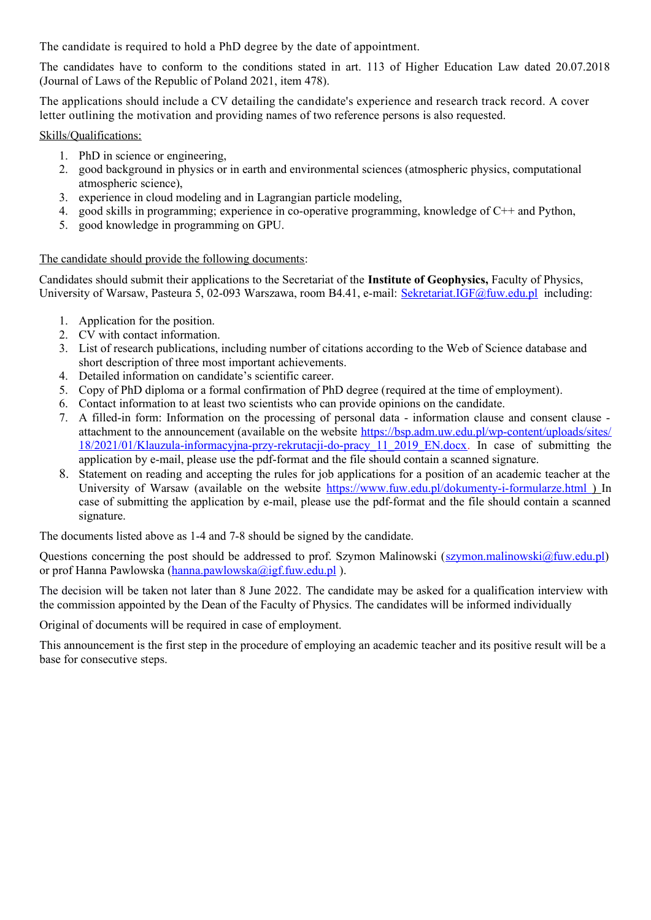The candidate is required to hold a PhD degree by the date of appointment.

The candidates have to conform to the conditions stated in art. 113 of Higher Education Law dated 20.07.2018 (Journal of Laws of the Republic of Poland 2021, item 478).

The applications should include a CV detailing the candidate's experience and research track record. A cover letter outlining the motivation and providing names of two reference persons is also requested.

Skills/Qualifications:

- 1. PhD in science or engineering,
- 2. good background in physics or in earth and environmental sciences (atmospheric physics, computational atmospheric science),
- 3. experience in cloud modeling and in Lagrangian particle modeling,
- 4. good skills in programming; experience in co-operative programming, knowledge of C++ and Python,
- 5. good knowledge in programming on GPU.

#### The candidate should provide the following documents:

Candidates should submit their applications to the Secretariat of the **Institute of Geophysics,** Faculty of Physics, University of Warsaw, Pasteura 5, 02-093 Warszawa, room B4.41, e-mail: [Sekretariat.IGF@fuw.edu.pl](mailto:Sekretariat.IGF@fuw.edu.pl) including:

- 1. Application for the position.
- 2. CV with contact information.
- 3. List of research publications, including number of citations according to the Web of Science database and short description of three most important achievements.
- 4. Detailed information on candidate's scientific career.
- 5. Copy of PhD diploma or a formal confirmation of PhD degree (required at the time of employment).
- 6. Contact information to at least two scientists who can provide opinions on the candidate.
- 7. A filled-in form: Information on the processing of personal data information clause and consent clause attachment to the announcement (available on the website https://bsp.adm.uw.edu.pl/wp-content/uploads/sites/ 18/2021/01/Klauzula-informacyjna-przy-rekrutacji-do-pracy\_11\_2019\_EN.docx. In case of submitting the application by e-mail, please use the pdf-format and the file should contain a scanned signature.
- 8. Statement on reading and accepting the rules for job applications for a position of an academic teacher at the University of Warsaw (available on the website<https://www.fuw.edu.pl/dokumenty-i-formularze.html> ) In case of submitting the application by e-mail, please use the pdf-format and the file should contain a scanned signature.

The documents listed above as 1-4 and 7-8 should be signed by the candidate.

Questions concerning the post should be addressed to prof. Szymon Malinowski ( $szymon$ ) malinowski  $@fuw$ ) edu.pl or prof Hanna Pawlowska ([hanna.pawlowska@igf.fuw.edu.pl](mailto:hanna.pawlowska@igf.fuw.edu.pl) ).

The decision will be taken not later than 8 June 2022. The candidate may be asked for a qualification interview with the commission appointed by the Dean of the Faculty of Physics. The candidates will be informed individually

Original of documents will be required in case of employment.

This announcement is the first step in the procedure of employing an academic teacher and its positive result will be a base for consecutive steps.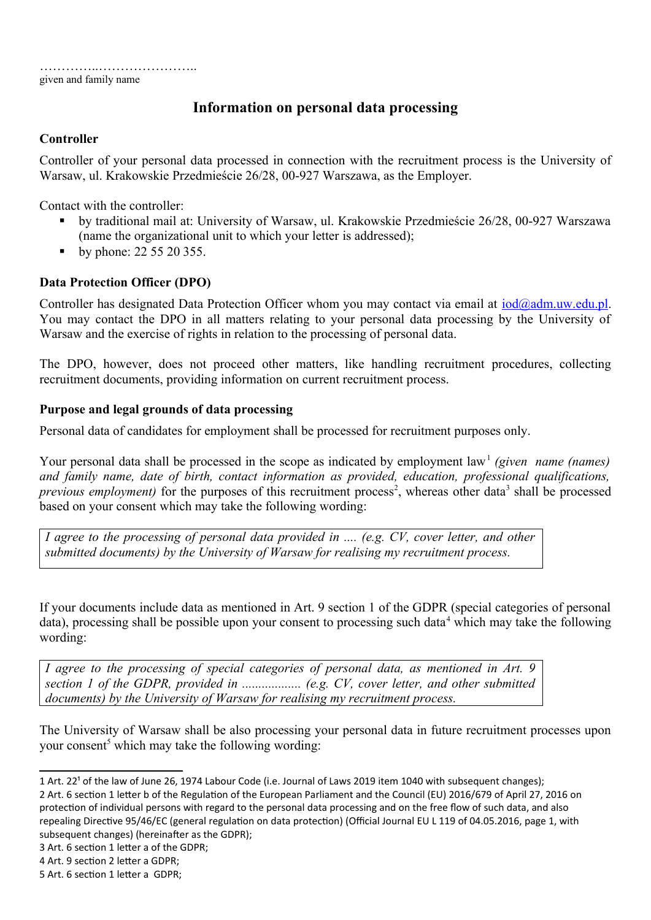given and family name

# **Information on personal data processing**

## **Controller**

Controller of your personal data processed in connection with the recruitment process is the University of Warsaw, ul. Krakowskie Przedmieście 26/28, 00-927 Warszawa, as the Employer.

Contact with the controller:

- by traditional mail at: University of Warsaw, ul. Krakowskie Przedmieście 26/28, 00-927 Warszawa (name the organizational unit to which your letter is addressed);
- by phone: 22 55 20 355.

## **Data Protection Officer (DPO)**

Controller has designated Data Protection Officer whom you may contact via email at  $\text{iod}(\partial \text{adm}.uw.edu.pl$ . You may contact the DPO in all matters relating to your personal data processing by the University of Warsaw and the exercise of rights in relation to the processing of personal data.

The DPO, however, does not proceed other matters, like handling recruitment procedures, collecting recruitment documents, providing information on current recruitment process.

### **Purpose and legal grounds of data processing**

Personal data of candidates for employment shall be processed for recruitment purposes only.

Your personal data shall be processed in the scope as indicated by employment law<sup>[1](#page-2-0)</sup> (given name (names) *and family name, date of birth, contact information as provided, education, professional qualifications, previous employment*) for the purposes of this recruitment process<sup>[2](#page-2-1)</sup>, whereas other data<sup>[3](#page-2-2)</sup> shall be processed based on your consent which may take the following wording:

*I agree to the processing of personal data provided in .... (e.g. CV, cover letter, and other submitted documents) by the University of Warsaw for realising my recruitment process.*

If your documents include data as mentioned in Art. 9 section 1 of the GDPR (special categories of personal data), processing shall be possible upon your consent to processing such data<sup>[4](#page-2-3)</sup> which may take the following wording:

*I agree to the processing of special categories of personal data, as mentioned in Art. 9 section 1 of the GDPR, provided in .................. (e.g. CV, cover letter, and other submitted documents) by the University of Warsaw for realising my recruitment process.*

The University of Warsaw shall be also processing your personal data in future recruitment processes upon your consent<sup>[5](#page-2-4)</sup> which may take the following wording:

<span id="page-2-0"></span><sup>1</sup> Art. 22<sup>1</sup> of the law of June 26, 1974 Labour Code (i.e. Journal of Laws 2019 item 1040 with subsequent changes);

<span id="page-2-1"></span><sup>2</sup> Art. 6 section 1 letter b of the Regulation of the European Parliament and the Council (EU) 2016/679 of April 27, 2016 on protection of individual persons with regard to the personal data processing and on the free flow of such data, and also repealing Directive 95/46/EC (general regulation on data protection) (Official Journal EU L 119 of 04.05.2016, page 1, with subsequent changes) (hereinafter as the GDPR);

<span id="page-2-2"></span><sup>3</sup> Art. 6 section 1 letter a of the GDPR;

<span id="page-2-3"></span><sup>4</sup> Art. 9 section 2 letter a GDPR;

<span id="page-2-4"></span><sup>5</sup> Art. 6 section 1 letter a GDPR;